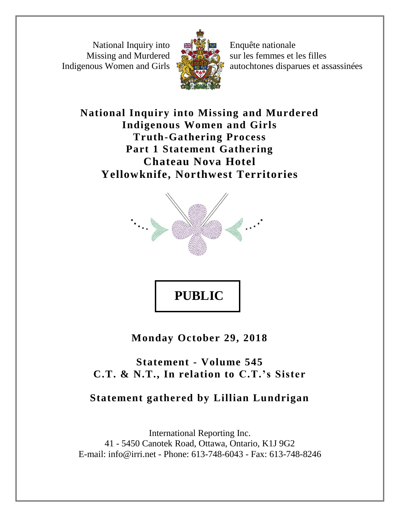National Inquiry into Missing and Murdered Indigenous Women and Girls



Enquête nationale sur les femmes et les filles autochtones disparues et assassinées

**National Inquiry into Missing and Murdered Indigenous Women and Girls Truth-Gathering Process Part 1 Statement Gathering Chateau Nova Hotel Yellowknife, Northwest Territories**



**PUBLIC** 

**Monday October 29, 2018**

**Statement - Volume 545 C.T. & N.T., In relation to C.T.'s Sister**

## **Statement gathered by Lillian Lundrigan**

International Reporting Inc. 41 - 5450 Canotek Road, Ottawa, Ontario, K1J 9G2 E-mail: info@irri.net - Phone: 613-748-6043 - Fax: 613-748-8246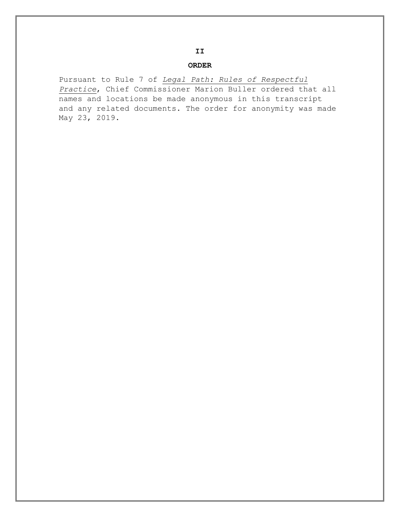## **ORDER**

Pursuant to Rule 7 of *Legal Path: Rules of Respectful Practice*, Chief Commissioner Marion Buller ordered that all names and locations be made anonymous in this transcript and any related documents. The order for anonymity was made May 23, 2019.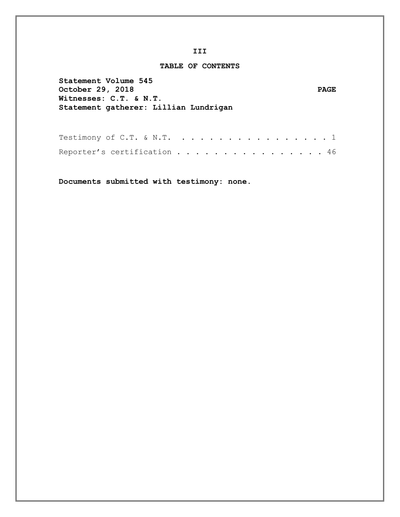## **TABLE OF CONTENTS**

| Statement Volume 545<br>October 29, 2018<br>Witnesses: C.T. & N.T.<br>Statement gatherer: Lillian Lundrigan | <b>PAGE</b> |
|-------------------------------------------------------------------------------------------------------------|-------------|
| Testimony of C.T. & N.T. 1                                                                                  |             |

| Reporter's certification 46 |  |  |  |  |  |  |  |  |  |
|-----------------------------|--|--|--|--|--|--|--|--|--|

**Documents submitted with testimony: none.**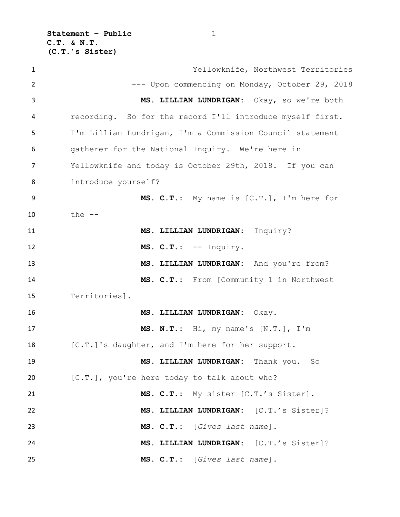**Statement – Public** 1 **C.T. & N.T. (C.T.'s Sister)**

| $\mathbf{1}$ | Yellowknife, Northwest Territories                        |
|--------------|-----------------------------------------------------------|
| 2            | --- Upon commencing on Monday, October 29, 2018           |
| 3            | MS. LILLIAN LUNDRIGAN: Okay, so we're both                |
| 4            | recording. So for the record I'll introduce myself first. |
| 5            | I'm Lillian Lundrigan, I'm a Commission Council statement |
| 6            | gatherer for the National Inquiry. We're here in          |
| 7            | Yellowknife and today is October 29th, 2018. If you can   |
| 8            | introduce yourself?                                       |
| 9            | MS. C.T.: My name is [C.T.], I'm here for                 |
| 10           | the $--$                                                  |
| 11           | MS. LILLIAN LUNDRIGAN: Inquiry?                           |
| 12           | MS. C.T.: -- Inquiry.                                     |
| 13           | MS. LILLIAN LUNDRIGAN: And you're from?                   |
| 14           | MS. C.T.: From [Community 1 in Northwest                  |
| 15           | Territories].                                             |
| 16           | MS. LILLIAN LUNDRIGAN: Okay.                              |
| 17           | MS. N.T.: Hi, my name's [N.T.], I'm                       |
| 18           | [C.T.]'s daughter, and I'm here for her support.          |
| 19           | MS. LILLIAN LUNDRIGAN: Thank you. So                      |
| 20           | [C.T.], you're here today to talk about who?              |
| 21           | MS. C.T.: My sister [C.T.'s Sister].                      |
| 22           | MS. LILLIAN LUNDRIGAN: [C.T.'s Sister]?                   |
| 23           | MS. C.T.: [Gives last name].                              |
| 24           | MS. LILLIAN LUNDRIGAN: [C.T.'s Sister]?                   |
| 25           | MS. C.T.: [Gives last name].                              |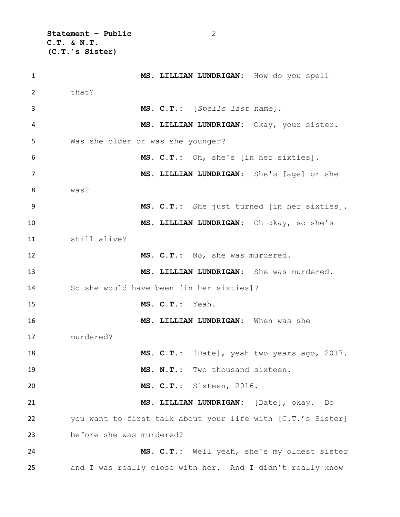**Statement – Public** 2 **C.T. & N.T. (C.T.'s Sister)**

| $\mathbf{1}$ | MS. LILLIAN LUNDRIGAN: How do you spell                     |
|--------------|-------------------------------------------------------------|
| 2            | that?                                                       |
| 3            | MS. C.T.: [Spells last name].                               |
| 4            | MS. LILLIAN LUNDRIGAN: Okay, your sister.                   |
| 5            | Was she older or was she younger?                           |
| 6            | MS. C.T.: Oh, she's [in her sixties].                       |
| 7            | MS. LILLIAN LUNDRIGAN: She's [age] or she                   |
| 8            | was?                                                        |
| 9            | MS. C.T.: She just turned [in her sixties].                 |
| 10           | MS. LILLIAN LUNDRIGAN: Oh okay, so she's                    |
| 11           | still alive?                                                |
| 12           | MS. C.T.: No, she was murdered.                             |
| 13           | MS. LILLIAN LUNDRIGAN: She was murdered.                    |
| 14           | So she would have been [in her sixties]?                    |
| 15           | MS. C.T.: Yeah.                                             |
| 16           | MS. LILLIAN LUNDRIGAN: When was she                         |
| 17           | murdered?                                                   |
| 18           | MS. C.T.: [Date], yeah two years ago, 2017.                 |
| 19           | MS. N.T.: Two thousand sixteen.                             |
| 20           | MS. C.T.: Sixteen, 2016.                                    |
| 21           | MS. LILLIAN LUNDRIGAN: [Date], okay. Do                     |
| 22           | you want to first talk about your life with [C.T.'s Sister] |
| 23           | before she was murdered?                                    |
| 24           | MS. C.T.: Well yeah, she's my oldest sister                 |
| 25           | and I was really close with her. And I didn't really know   |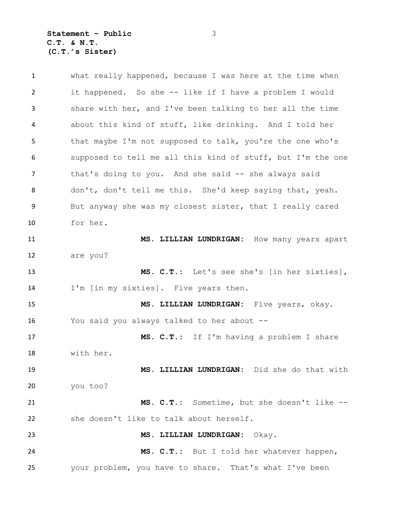**Statement – Public** 3 **C.T. & N.T. (C.T.'s Sister)**

 what really happened, because I was here at the time when it happened. So she -- like if I have a problem I would share with her, and I've been talking to her all the time about this kind of stuff, like drinking. And I told her that maybe I'm not supposed to talk, you're the one who's supposed to tell me all this kind of stuff, but I'm the one 7 that's doing to you. And she said -- she always said don't, don't tell me this. She'd keep saying that, yeah. But anyway she was my closest sister, that I really cared for her. **MS. LILLIAN LUNDRIGAN:** How many years apart are you? **MS. C.T.:** Let's see she's [in her sixties], I'm [in my sixties]. Five years then. **MS. LILLIAN LUNDRIGAN:** Five years, okay. You said you always talked to her about -- **MS. C.T.:** If I'm having a problem I share with her. **MS. LILLIAN LUNDRIGAN:** Did she do that with you too? **MS. C.T.:** Sometime, but she doesn't like -- she doesn't like to talk about herself. **MS. LILLIAN LUNDRIGAN:** Okay. **MS. C.T.:** But I told her whatever happen, your problem, you have to share. That's what I've been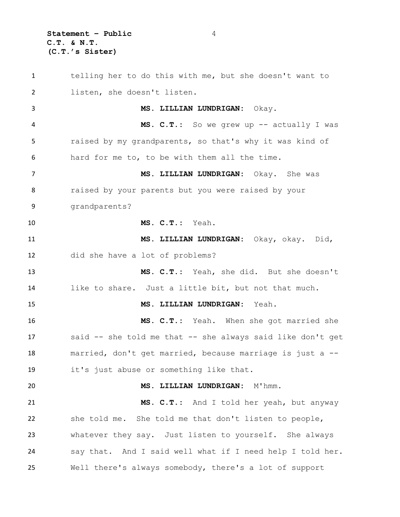**Statement – Public** 4 **C.T. & N.T. (C.T.'s Sister)**

 telling her to do this with me, but she doesn't want to listen, she doesn't listen. **MS. LILLIAN LUNDRIGAN:** Okay. **MS. C.T.:** So we grew up -- actually I was raised by my grandparents, so that's why it was kind of hard for me to, to be with them all the time. **MS. LILLIAN LUNDRIGAN:** Okay. She was 8 raised by your parents but you were raised by your grandparents? **MS. C.T.:** Yeah. **MS. LILLIAN LUNDRIGAN:** Okay, okay. Did, did she have a lot of problems? **MS. C.T.:** Yeah, she did. But she doesn't like to share. Just a little bit, but not that much. **MS. LILLIAN LUNDRIGAN:** Yeah. **MS. C.T.:** Yeah. When she got married she said -- she told me that -- she always said like don't get married, don't get married, because marriage is just a -- it's just abuse or something like that. **MS. LILLIAN LUNDRIGAN:** M'hmm. **MS. C.T.:** And I told her yeah, but anyway she told me. She told me that don't listen to people, whatever they say. Just listen to yourself. She always say that. And I said well what if I need help I told her. Well there's always somebody, there's a lot of support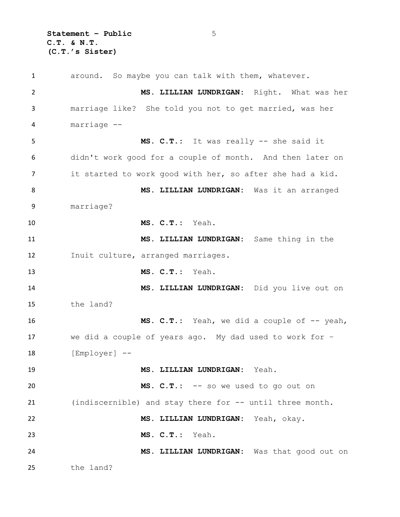**Statement – Public** 5 **C.T. & N.T. (C.T.'s Sister)**

 around. So maybe you can talk with them, whatever. **MS. LILLIAN LUNDRIGAN:** Right. What was her marriage like? She told you not to get married, was her marriage -- **MS. C.T.:** It was really -- she said it didn't work good for a couple of month. And then later on it started to work good with her, so after she had a kid. **MS. LILLIAN LUNDRIGAN:** Was it an arranged marriage? **MS. C.T.:** Yeah. **MS. LILLIAN LUNDRIGAN:** Same thing in the Inuit culture, arranged marriages. **MS. C.T.:** Yeah. **MS. LILLIAN LUNDRIGAN:** Did you live out on the land? **MS. C.T.:** Yeah, we did a couple of -- yeah, we did a couple of years ago. My dad used to work for – 18 [Employer] -- **MS. LILLIAN LUNDRIGAN:** Yeah. **MS. C.T.:** -- so we used to go out on (indiscernible) and stay there for -- until three month. **MS. LILLIAN LUNDRIGAN:** Yeah, okay. **MS. C.T.:** Yeah. **MS. LILLIAN LUNDRIGAN:** Was that good out on the land?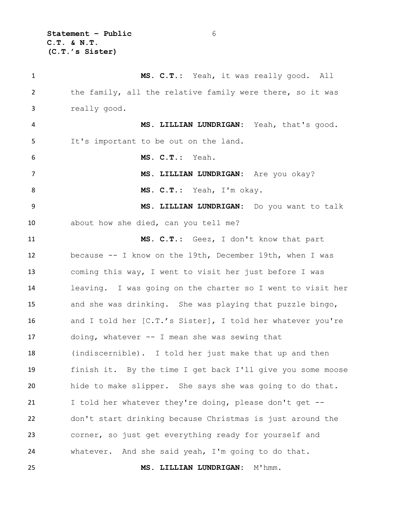**Statement – Public** 6 **C.T. & N.T. (C.T.'s Sister)**

 **MS. C.T.:** Yeah, it was really good. All the family, all the relative family were there, so it was really good. **MS. LILLIAN LUNDRIGAN:** Yeah, that's good. It's important to be out on the land. **MS. C.T.:** Yeah. **MS. LILLIAN LUNDRIGAN:** Are you okay? **MS. C.T.:** Yeah, I'm okay. **MS. LILLIAN LUNDRIGAN:** Do you want to talk about how she died, can you tell me? **MS. C.T.:** Geez, I don't know that part because -- I know on the 19th, December 19th, when I was coming this way, I went to visit her just before I was leaving. I was going on the charter so I went to visit her and she was drinking. She was playing that puzzle bingo, and I told her [C.T.'s Sister], I told her whatever you're doing, whatever -- I mean she was sewing that (indiscernible). I told her just make that up and then finish it. By the time I get back I'll give you some moose hide to make slipper. She says she was going to do that. I told her whatever they're doing, please don't get -- don't start drinking because Christmas is just around the corner, so just get everything ready for yourself and whatever. And she said yeah, I'm going to do that. **MS. LILLIAN LUNDRIGAN:** M'hmm.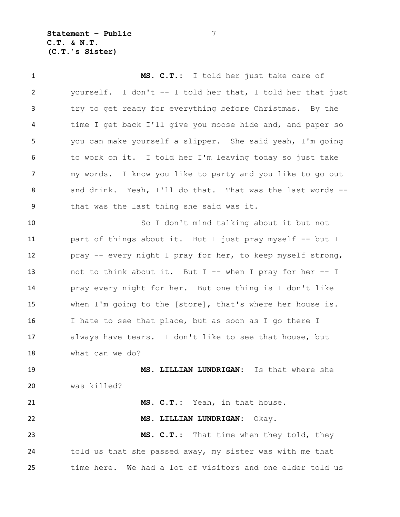**Statement – Public** 7 **C.T. & N.T. (C.T.'s Sister)**

 **MS. C.T.:** I told her just take care of yourself. I don't -- I told her that, I told her that just try to get ready for everything before Christmas. By the time I get back I'll give you moose hide and, and paper so you can make yourself a slipper. She said yeah, I'm going to work on it. I told her I'm leaving today so just take my words. I know you like to party and you like to go out and drink. Yeah, I'll do that. That was the last words -- that was the last thing she said was it. So I don't mind talking about it but not part of things about it. But I just pray myself -- but I pray -- every night I pray for her, to keep myself strong, not to think about it. But I -- when I pray for her -- I pray every night for her. But one thing is I don't like when I'm going to the [store], that's where her house is. I hate to see that place, but as soon as I go there I always have tears. I don't like to see that house, but what can we do? **MS. LILLIAN LUNDRIGAN:** Is that where she was killed? **MS. C.T.:** Yeah, in that house.

## **MS. LILLIAN LUNDRIGAN:** Okay.

 **MS. C.T.:** That time when they told, they told us that she passed away, my sister was with me that time here. We had a lot of visitors and one elder told us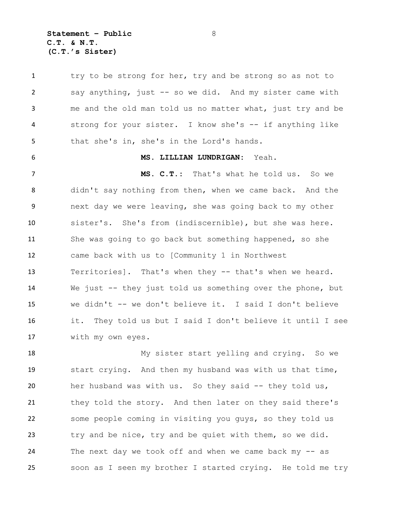**Statement – Public** 8 **C.T. & N.T. (C.T.'s Sister)**

1 try to be strong for her, try and be strong so as not to say anything, just -- so we did. And my sister came with me and the old man told us no matter what, just try and be strong for your sister. I know she's -- if anything like that she's in, she's in the Lord's hands.

**MS. LILLIAN LUNDRIGAN:** Yeah.

 **MS. C.T.:** That's what he told us. So we didn't say nothing from then, when we came back. And the next day we were leaving, she was going back to my other sister's. She's from (indiscernible), but she was here. She was going to go back but something happened, so she came back with us to [Community 1 in Northwest Territories]. That's when they -- that's when we heard. We just -- they just told us something over the phone, but we didn't -- we don't believe it. I said I don't believe it. They told us but I said I don't believe it until I see with my own eyes.

 My sister start yelling and crying. So we start crying. And then my husband was with us that time, her husband was with us. So they said -- they told us, they told the story. And then later on they said there's some people coming in visiting you guys, so they told us try and be nice, try and be quiet with them, so we did. The next day we took off and when we came back my -- as soon as I seen my brother I started crying. He told me try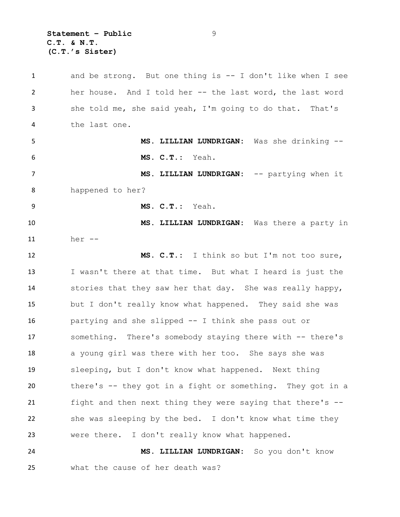**Statement – Public** 9 **C.T. & N.T. (C.T.'s Sister)**

 and be strong. But one thing is -- I don't like when I see her house. And I told her -- the last word, the last word she told me, she said yeah, I'm going to do that. That's the last one. **MS. LILLIAN LUNDRIGAN:** Was she drinking -- **MS. C.T.:** Yeah. **MS. LILLIAN LUNDRIGAN:** -- partying when it happened to her? **MS. C.T.:** Yeah. **MS. LILLIAN LUNDRIGAN:** Was there a party in her -- **MS. C.T.:** I think so but I'm not too sure, I wasn't there at that time. But what I heard is just the stories that they saw her that day. She was really happy, but I don't really know what happened. They said she was partying and she slipped -- I think she pass out or something. There's somebody staying there with -- there's 18 a young girl was there with her too. She says she was sleeping, but I don't know what happened. Next thing there's -- they got in a fight or something. They got in a fight and then next thing they were saying that there's -- she was sleeping by the bed. I don't know what time they were there. I don't really know what happened. **MS. LILLIAN LUNDRIGAN:** So you don't know what the cause of her death was?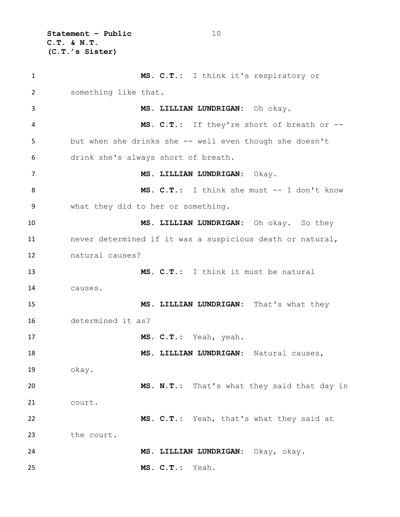**Statement – Public** 10 **C.T. & N.T. (C.T.'s Sister)**

 **MS. C.T.:** I think it's respiratory or something like that. **MS. LILLIAN LUNDRIGAN:** Oh okay. **MS. C.T.:** If they're short of breath or -- but when she drinks she -- well even though she doesn't drink she's always short of breath. **MS. LILLIAN LUNDRIGAN:** Okay. **MS. C.T.:** I think she must -- I don't know what they did to her or something. **MS. LILLIAN LUNDRIGAN:** Oh okay. So they never determined if it was a suspicious death or natural, natural causes? **MS. C.T.:** I think it must be natural causes. **MS. LILLIAN LUNDRIGAN:** That's what they determined it as? **MS. C.T.:** Yeah, yeah. **MS. LILLIAN LUNDRIGAN:** Natural causes, okay. **MS. N.T.:** That's what they said that day in court. **MS. C.T.:** Yeah, that's what they said at the court. **MS. LILLIAN LUNDRIGAN:** Okay, okay. **MS. C.T.:** Yeah.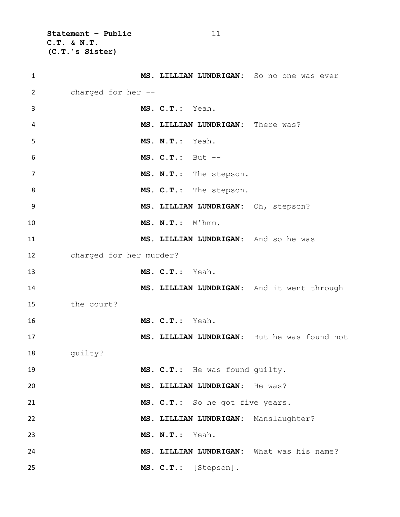**Statement – Public** 11 **C.T. & N.T. (C.T.'s Sister)**

| $\mathbf{1}$   |                         |                    |                                     | MS. LILLIAN LUNDRIGAN: So no one was ever   |
|----------------|-------------------------|--------------------|-------------------------------------|---------------------------------------------|
| $\overline{2}$ | charged for her --      |                    |                                     |                                             |
| 3              |                         | MS. C.T.: Yeah.    |                                     |                                             |
| 4              |                         |                    | MS. LILLIAN LUNDRIGAN: There was?   |                                             |
| 5              |                         | MS. N.T.: Yeah.    |                                     |                                             |
| 6              |                         | $MS. C.T.: But --$ |                                     |                                             |
| $\overline{7}$ |                         |                    | MS. N.T.: The stepson.              |                                             |
| 8              |                         |                    | MS. C.T.: The stepson.              |                                             |
| 9              |                         |                    | MS. LILLIAN LUNDRIGAN: Oh, stepson? |                                             |
| 10             |                         | MS. N.T.: M'hmm.   |                                     |                                             |
| 11             |                         |                    |                                     | MS. LILLIAN LUNDRIGAN: And so he was        |
| 12             | charged for her murder? |                    |                                     |                                             |
| 13             |                         | MS. C.T.: Yeah.    |                                     |                                             |
| 14             |                         |                    |                                     | MS. LILLIAN LUNDRIGAN: And it went through  |
| 15             | the court?              |                    |                                     |                                             |
| 16             |                         | MS. C.T.: Yeah.    |                                     |                                             |
| 17             |                         |                    |                                     | MS. LILLIAN LUNDRIGAN: But he was found not |
| 18             | quilty?                 |                    |                                     |                                             |
| 19             |                         |                    | MS. C.T.: He was found quilty.      |                                             |
| 20             |                         |                    | MS. LILLIAN LUNDRIGAN: He was?      |                                             |
| 21             |                         |                    | MS. C.T.: So he got five years.     |                                             |
| 22             |                         |                    |                                     | MS. LILLIAN LUNDRIGAN: Manslaughter?        |
| 23             |                         | MS. N.T.: Yeah.    |                                     |                                             |
| 24             |                         |                    |                                     | MS. LILLIAN LUNDRIGAN: What was his name?   |
| 25             |                         |                    | MS. C.T.: [Stepson].                |                                             |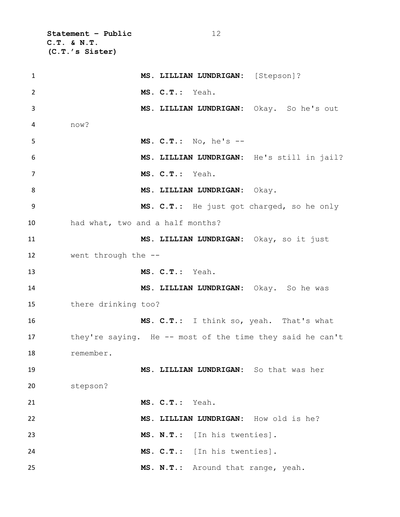**Statement – Public** 12 **C.T. & N.T. (C.T.'s Sister)**

| $\mathbf{1}$ | MS. LILLIAN LUNDRIGAN: [Stepson]?                         |
|--------------|-----------------------------------------------------------|
| 2            | MS. C.T.: Yeah.                                           |
| 3            | MS. LILLIAN LUNDRIGAN: Okay. So he's out                  |
| 4            | now?                                                      |
| 5            | MS. $C.T.: No, he's --$                                   |
| 6            | MS. LILLIAN LUNDRIGAN: He's still in jail?                |
| 7            | MS. C.T.: Yeah.                                           |
| 8            | MS. LILLIAN LUNDRIGAN: Okay.                              |
| 9            | MS. C.T.: He just got charged, so he only                 |
| 10           | had what, two and a half months?                          |
| 11           | MS. LILLIAN LUNDRIGAN: Okay, so it just                   |
| 12           | went through the --                                       |
| 13           | MS. C.T.: Yeah.                                           |
| 14           | MS. LILLIAN LUNDRIGAN: Okay. So he was                    |
| 15           | there drinking too?                                       |
| 16           | MS. C.T.: I think so, yeah. That's what                   |
| 17           | they're saying. He -- most of the time they said he can't |
| 18           | remember.                                                 |
| 19           | MS. LILLIAN LUNDRIGAN: So that was her                    |
| 20           | stepson?                                                  |
| 21           | MS. C.T.: Yeah.                                           |
| 22           | MS. LILLIAN LUNDRIGAN: How old is he?                     |
| 23           | MS. N.T.: [In his twenties].                              |
| 24           | MS. C.T.: [In his twenties].                              |
| 25           | MS. N.T.: Around that range, yeah.                        |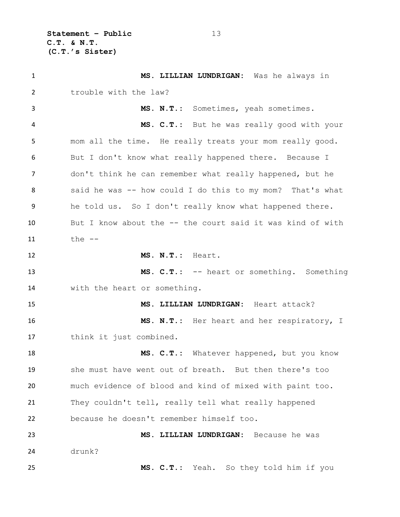**Statement – Public** 13 **C.T. & N.T. (C.T.'s Sister)**

 **MS. LILLIAN LUNDRIGAN:** Was he always in trouble with the law? **MS. N.T.:** Sometimes, yeah sometimes. **MS. C.T.:** But he was really good with your mom all the time. He really treats your mom really good. But I don't know what really happened there. Because I don't think he can remember what really happened, but he said he was -- how could I do this to my mom? That's what he told us. So I don't really know what happened there. But I know about the -- the court said it was kind of with the -- **MS. N.T.:** Heart. **MS. C.T.:** -- heart or something. Something with the heart or something. **MS. LILLIAN LUNDRIGAN:** Heart attack? **MS. N.T.:** Her heart and her respiratory, I think it just combined. **MS. C.T.:** Whatever happened, but you know she must have went out of breath. But then there's too much evidence of blood and kind of mixed with paint too. They couldn't tell, really tell what really happened because he doesn't remember himself too. **MS. LILLIAN LUNDRIGAN:** Because he was drunk? **MS. C.T.:** Yeah. So they told him if you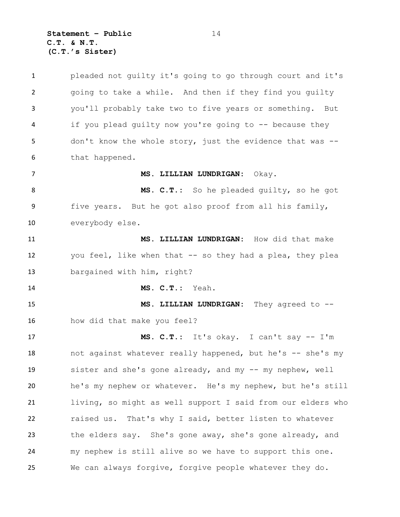**Statement – Public** 14 **C.T. & N.T. (C.T.'s Sister)**

 pleaded not guilty it's going to go through court and it's going to take a while. And then if they find you guilty you'll probably take two to five years or something. But if you plead guilty now you're going to -- because they don't know the whole story, just the evidence that was -- that happened. **MS. LILLIAN LUNDRIGAN:** Okay. **MS. C.T.:** So he pleaded guilty, so he got five years. But he got also proof from all his family, everybody else. **MS. LILLIAN LUNDRIGAN:** How did that make you feel, like when that -- so they had a plea, they plea bargained with him, right? **MS. C.T.:** Yeah. **MS. LILLIAN LUNDRIGAN:** They agreed to -- how did that make you feel? **MS. C.T.:** It's okay. I can't say -- I'm 18 not against whatever really happened, but he's -- she's my sister and she's gone already, and my -- my nephew, well he's my nephew or whatever. He's my nephew, but he's still living, so might as well support I said from our elders who raised us. That's why I said, better listen to whatever the elders say. She's gone away, she's gone already, and my nephew is still alive so we have to support this one. We can always forgive, forgive people whatever they do.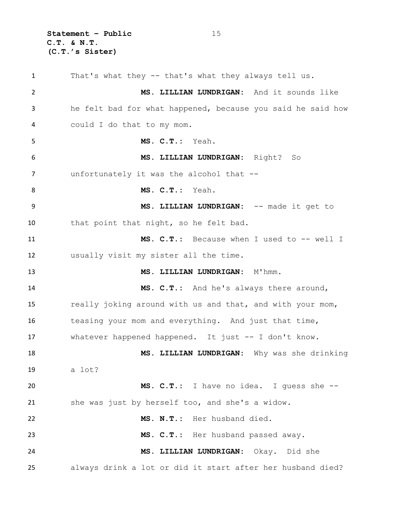**Statement – Public** 15 **C.T. & N.T. (C.T.'s Sister)**

 That's what they -- that's what they always tell us. **MS. LILLIAN LUNDRIGAN:** And it sounds like he felt bad for what happened, because you said he said how could I do that to my mom. **MS. C.T.:** Yeah. **MS. LILLIAN LUNDRIGAN:** Right? So unfortunately it was the alcohol that -- **MS. C.T.:** Yeah. **MS. LILLIAN LUNDRIGAN:** -- made it get to that point that night, so he felt bad. **MS. C.T.:** Because when I used to -- well I usually visit my sister all the time. **MS. LILLIAN LUNDRIGAN:** M'hmm. **MS. C.T.:** And he's always there around, really joking around with us and that, and with your mom, teasing your mom and everything. And just that time, whatever happened happened. It just -- I don't know. **MS. LILLIAN LUNDRIGAN:** Why was she drinking a lot? **MS. C.T.:** I have no idea. I guess she -- she was just by herself too, and she's a widow. **MS. N.T.:** Her husband died. **MS. C.T.:** Her husband passed away. **MS. LILLIAN LUNDRIGAN:** Okay. Did she always drink a lot or did it start after her husband died?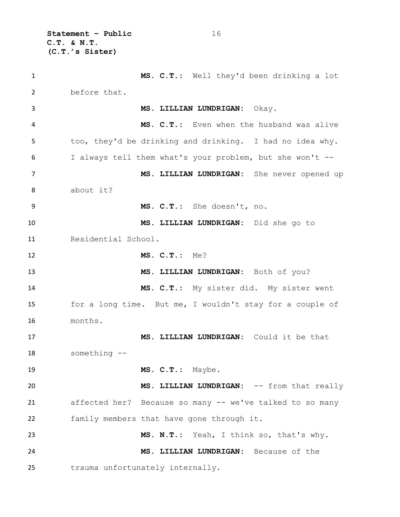**Statement – Public** 16 **C.T. & N.T. (C.T.'s Sister)**

 **MS. C.T.:** Well they'd been drinking a lot before that. **MS. LILLIAN LUNDRIGAN:** Okay. **MS. C.T.:** Even when the husband was alive too, they'd be drinking and drinking. I had no idea why. I always tell them what's your problem, but she won't -- **MS. LILLIAN LUNDRIGAN:** She never opened up about it? **MS. C.T.:** She doesn't, no. **MS. LILLIAN LUNDRIGAN:** Did she go to Residential School. **MS. C.T.:** Me? **MS. LILLIAN LUNDRIGAN:** Both of you? **MS. C.T.:** My sister did. My sister went for a long time. But me, I wouldn't stay for a couple of months. **MS. LILLIAN LUNDRIGAN:** Could it be that something -- **MS. C.T.:** Maybe. **MS. LILLIAN LUNDRIGAN:** -- from that really affected her? Because so many -- we've talked to so many family members that have gone through it. **MS. N.T.:** Yeah, I think so, that's why. **MS. LILLIAN LUNDRIGAN:** Because of the trauma unfortunately internally.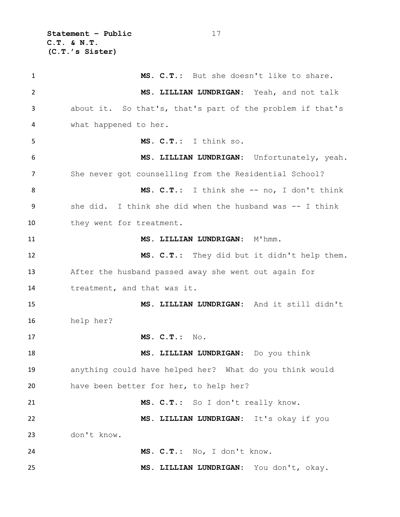**Statement – Public** 17 **C.T. & N.T. (C.T.'s Sister)**

 **MS. C.T.:** But she doesn't like to share. **MS. LILLIAN LUNDRIGAN:** Yeah, and not talk about it. So that's, that's part of the problem if that's what happened to her. **MS. C.T.:** I think so. **MS. LILLIAN LUNDRIGAN:** Unfortunately, yeah. She never got counselling from the Residential School? **MS. C.T.:** I think she -- no, I don't think she did. I think she did when the husband was -- I think 10 they went for treatment. **MS. LILLIAN LUNDRIGAN:** M'hmm. **MS. C.T.:** They did but it didn't help them. After the husband passed away she went out again for treatment, and that was it. **MS. LILLIAN LUNDRIGAN:** And it still didn't help her? **MS. C.T.:** No. **MS. LILLIAN LUNDRIGAN:** Do you think anything could have helped her? What do you think would have been better for her, to help her? **MS. C.T.:** So I don't really know. **MS. LILLIAN LUNDRIGAN:** It's okay if you don't know. **MS. C.T.:** No, I don't know. **MS. LILLIAN LUNDRIGAN:** You don't, okay.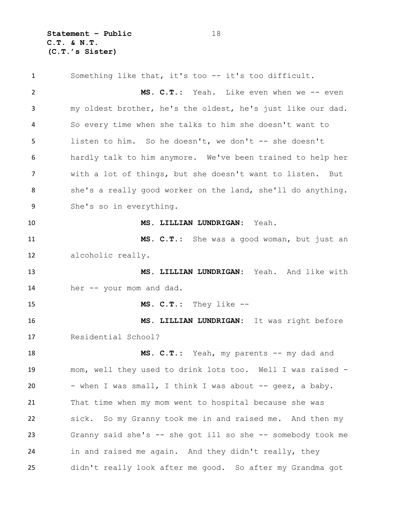**Statement – Public** 18 **C.T. & N.T. (C.T.'s Sister)**

 Something like that, it's too -- it's too difficult. **MS. C.T.:** Yeah. Like even when we -- even my oldest brother, he's the oldest, he's just like our dad. So every time when she talks to him she doesn't want to listen to him. So he doesn't, we don't -- she doesn't hardly talk to him anymore. We've been trained to help her with a lot of things, but she doesn't want to listen. But 8 she's a really good worker on the land, she'll do anything. She's so in everything. **MS. LILLIAN LUNDRIGAN:** Yeah. **MS. C.T.:** She was a good woman, but just an alcoholic really. **MS. LILLIAN LUNDRIGAN:** Yeah. And like with her -- your mom and dad. **MS. C.T.:** They like -- **MS. LILLIAN LUNDRIGAN:** It was right before Residential School? **MS. C.T.:** Yeah, my parents -- my dad and mom, well they used to drink lots too. Well I was raised - 20 - when I was small, I think I was about -- geez, a baby. That time when my mom went to hospital because she was sick. So my Granny took me in and raised me. And then my Granny said she's -- she got ill so she -- somebody took me in and raised me again. And they didn't really, they didn't really look after me good. So after my Grandma got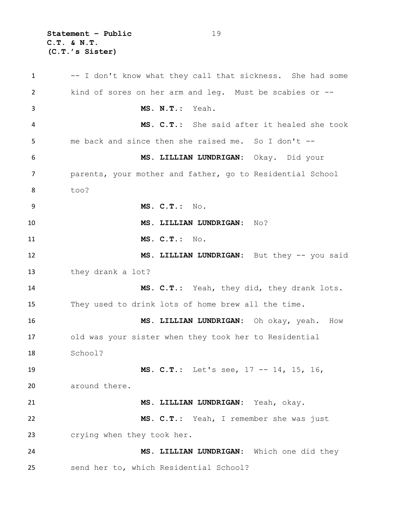**Statement – Public** 19 **C.T. & N.T. (C.T.'s Sister)**

1 -- I don't know what they call that sickness. She had some kind of sores on her arm and leg. Must be scabies or -- **MS. N.T.:** Yeah. **MS. C.T.:** She said after it healed she took me back and since then she raised me. So I don't -- **MS. LILLIAN LUNDRIGAN:** Okay. Did your parents, your mother and father, go to Residential School too? **MS. C.T.:** No. **MS. LILLIAN LUNDRIGAN:** No? **MS. C.T.:** No. **MS. LILLIAN LUNDRIGAN:** But they -- you said they drank a lot? **MS. C.T.:** Yeah, they did, they drank lots. They used to drink lots of home brew all the time. **MS. LILLIAN LUNDRIGAN:** Oh okay, yeah. How old was your sister when they took her to Residential School? **MS. C.T.:** Let's see, 17 -- 14, 15, 16, around there. **MS. LILLIAN LUNDRIGAN:** Yeah, okay. **MS. C.T.:** Yeah, I remember she was just crying when they took her. **MS. LILLIAN LUNDRIGAN:** Which one did they send her to, which Residential School?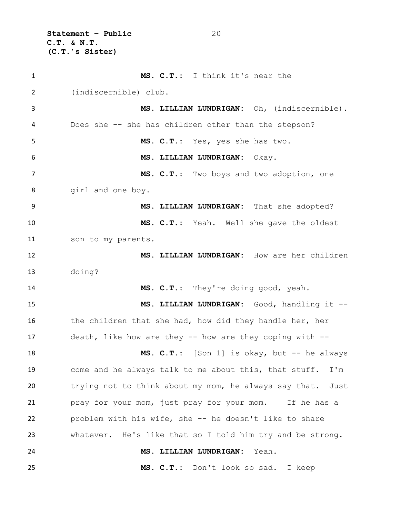**Statement – Public** 20 **C.T. & N.T. (C.T.'s Sister)**

 **MS. C.T.:** I think it's near the (indiscernible) club. **MS. LILLIAN LUNDRIGAN:** Oh, (indiscernible). Does she -- she has children other than the stepson? **MS. C.T.:** Yes, yes she has two. **MS. LILLIAN LUNDRIGAN:** Okay. **MS. C.T.:** Two boys and two adoption, one girl and one boy. **MS. LILLIAN LUNDRIGAN:** That she adopted? **MS. C.T.:** Yeah. Well she gave the oldest son to my parents. **MS. LILLIAN LUNDRIGAN:** How are her children doing? **MS. C.T.:** They're doing good, yeah. **MS. LILLIAN LUNDRIGAN:** Good, handling it -- 16 the children that she had, how did they handle her, her death, like how are they -- how are they coping with -- **MS. C.T.:** [Son 1] is okay, but -- he always come and he always talk to me about this, that stuff. I'm trying not to think about my mom, he always say that. Just pray for your mom, just pray for your mom. If he has a problem with his wife, she -- he doesn't like to share whatever. He's like that so I told him try and be strong. **MS. LILLIAN LUNDRIGAN:** Yeah. **MS. C.T.:** Don't look so sad. I keep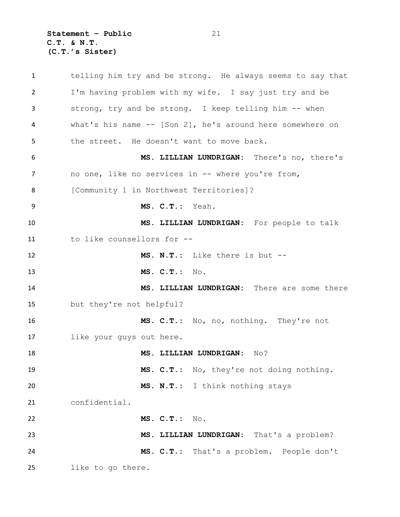**Statement – Public** 21 **C.T. & N.T. (C.T.'s Sister)**

 telling him try and be strong. He always seems to say that I'm having problem with my wife. I say just try and be strong, try and be strong. I keep telling him -- when what's his name -- [Son 2], he's around here somewhere on the street. He doesn't want to move back. **MS. LILLIAN LUNDRIGAN:** There's no, there's no one, like no services in -- where you're from, [Community 1 in Northwest Territories]? **MS. C.T.:** Yeah. **MS. LILLIAN LUNDRIGAN:** For people to talk to like counsellors for -- **MS. N.T.:** Like there is but -- **MS. C.T.:** No. **MS. LILLIAN LUNDRIGAN:** There are some there but they're not helpful? **MS. C.T.:** No, no, nothing. They're not like your guys out here. **MS. LILLIAN LUNDRIGAN:** No? **MS. C.T.:** No, they're not doing nothing. **MS. N.T.:** I think nothing stays confidential. **MS. C.T.:** No. **MS. LILLIAN LUNDRIGAN:** That's a problem? **MS. C.T.:** That's a problem. People don't like to go there.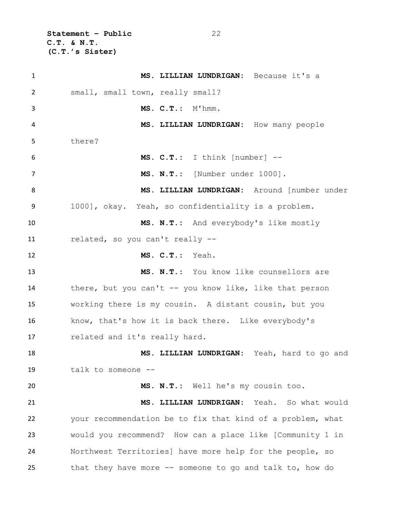**Statement – Public** 22 **C.T. & N.T. (C.T.'s Sister)**

| $\mathbf{1}$ | MS. LILLIAN LUNDRIGAN: Because it's a                      |
|--------------|------------------------------------------------------------|
| 2            | small, small town, really small?                           |
| 3            | MS. C.T.: M'hmm.                                           |
| 4            | MS. LILLIAN LUNDRIGAN: How many people                     |
| 5            | there?                                                     |
| 6            | MS. C.T.: I think [number] --                              |
| 7            | MS. N.T.: [Number under 1000].                             |
| 8            | MS. LILLIAN LUNDRIGAN: Around [number under                |
| 9            | 1000], okay. Yeah, so confidentiality is a problem.        |
| 10           | MS. N.T.: And everybody's like mostly                      |
| 11           | related, so you can't really --                            |
| 12           | MS. C.T.: Yeah.                                            |
| 13           | MS. N.T.: You know like counsellors are                    |
| 14           | there, but you can't -- you know like, like that person    |
| 15           | working there is my cousin. A distant cousin, but you      |
| 16           | know, that's how it is back there. Like everybody's        |
| 17           | related and it's really hard.                              |
| 18           | MS. LILLIAN LUNDRIGAN: Yeah, hard to go and                |
| 19           | talk to someone --                                         |
| 20           | MS. N.T.: Well he's my cousin too.                         |
| 21           | MS. LILLIAN LUNDRIGAN: Yeah. So what would                 |
| 22           | your recommendation be to fix that kind of a problem, what |
| 23           | would you recommend? How can a place like [Community 1 in  |
| 24           | Northwest Territories] have more help for the people, so   |
| 25           | that they have more -- someone to go and talk to, how do   |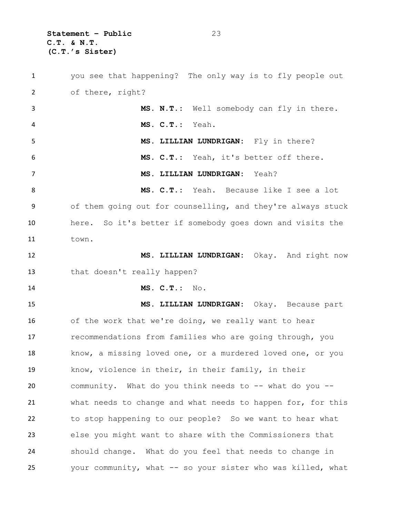**Statement – Public** 23 **C.T. & N.T. (C.T.'s Sister)**

 you see that happening? The only way is to fly people out of there, right? **MS. N.T.:** Well somebody can fly in there. **MS. C.T.:** Yeah. **MS. LILLIAN LUNDRIGAN:** Fly in there? **MS. C.T.:** Yeah, it's better off there. **MS. LILLIAN LUNDRIGAN:** Yeah? **MS. C.T.:** Yeah. Because like I see a lot of them going out for counselling, and they're always stuck here. So it's better if somebody goes down and visits the town. **MS. LILLIAN LUNDRIGAN:** Okay. And right now that doesn't really happen? **MS. C.T.:** No. **MS. LILLIAN LUNDRIGAN:** Okay. Because part of the work that we're doing, we really want to hear recommendations from families who are going through, you know, a missing loved one, or a murdered loved one, or you know, violence in their, in their family, in their community. What do you think needs to -- what do you -- what needs to change and what needs to happen for, for this to stop happening to our people? So we want to hear what else you might want to share with the Commissioners that should change. What do you feel that needs to change in your community, what -- so your sister who was killed, what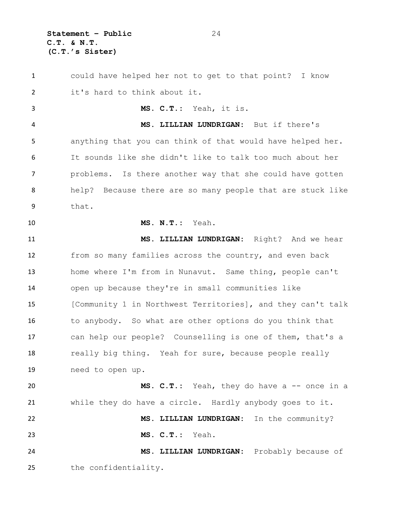**Statement – Public** 24 **C.T. & N.T. (C.T.'s Sister)**

 could have helped her not to get to that point? I know it's hard to think about it. **MS. C.T.:** Yeah, it is. **MS. LILLIAN LUNDRIGAN:** But if there's anything that you can think of that would have helped her. It sounds like she didn't like to talk too much about her problems. Is there another way that she could have gotten help? Because there are so many people that are stuck like that. **MS. N.T.:** Yeah. **MS. LILLIAN LUNDRIGAN:** Right? And we hear from so many families across the country, and even back home where I'm from in Nunavut. Same thing, people can't open up because they're in small communities like [Community 1 in Northwest Territories], and they can't talk to anybody. So what are other options do you think that can help our people? Counselling is one of them, that's a 18 really big thing. Yeah for sure, because people really need to open up. **MS. C.T.:** Yeah, they do have a -- once in a while they do have a circle. Hardly anybody goes to it. **MS. LILLIAN LUNDRIGAN:** In the community? **MS. C.T.:** Yeah. **MS. LILLIAN LUNDRIGAN:** Probably because of the confidentiality.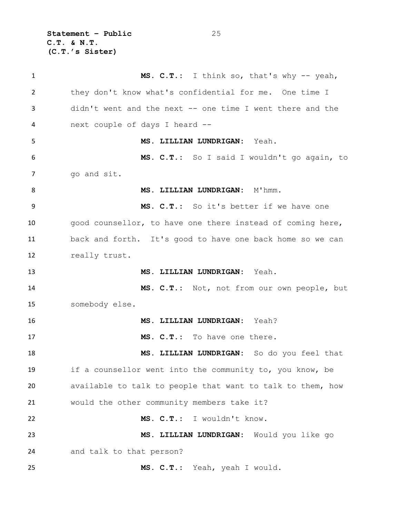**Statement – Public** 25 **C.T. & N.T. (C.T.'s Sister)**

1 MS. C.T.: I think so, that's why -- yeah, they don't know what's confidential for me. One time I didn't went and the next -- one time I went there and the next couple of days I heard -- **MS. LILLIAN LUNDRIGAN:** Yeah. **MS. C.T.:** So I said I wouldn't go again, to go and sit. 8 MS. LILLIAN LUNDRIGAN: M'hmm. **MS. C.T.:** So it's better if we have one good counsellor, to have one there instead of coming here, back and forth. It's good to have one back home so we can really trust. **MS. LILLIAN LUNDRIGAN:** Yeah. **MS. C.T.:** Not, not from our own people, but somebody else. **MS. LILLIAN LUNDRIGAN:** Yeah? **MS. C.T.:** To have one there. **MS. LILLIAN LUNDRIGAN:** So do you feel that if a counsellor went into the community to, you know, be available to talk to people that want to talk to them, how would the other community members take it? **MS. C.T.:** I wouldn't know. **MS. LILLIAN LUNDRIGAN:** Would you like go and talk to that person? **MS. C.T.:** Yeah, yeah I would.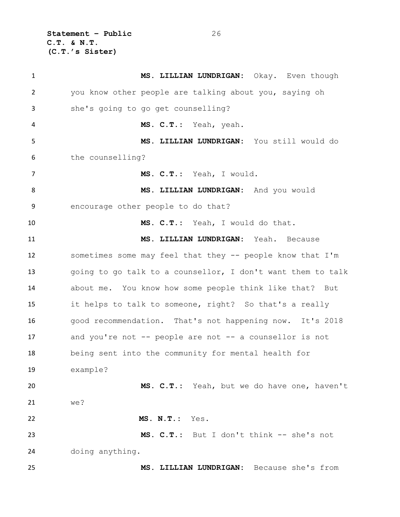**Statement – Public** 26 **C.T. & N.T. (C.T.'s Sister)**

| $\mathbf{1}$   | MS. LILLIAN LUNDRIGAN: Okay. Even though                    |
|----------------|-------------------------------------------------------------|
| $\overline{2}$ | you know other people are talking about you, saying oh      |
| 3              | she's going to go get counselling?                          |
| 4              | MS. C.T.: Yeah, yeah.                                       |
| 5              | MS. LILLIAN LUNDRIGAN: You still would do                   |
| 6              | the counselling?                                            |
| $\overline{7}$ | MS. C.T.: Yeah, I would.                                    |
| 8              | MS. LILLIAN LUNDRIGAN: And you would                        |
| 9              | encourage other people to do that?                          |
| 10             | MS. C.T.: Yeah, I would do that.                            |
| 11             | MS. LILLIAN LUNDRIGAN: Yeah. Because                        |
| 12             | sometimes some may feel that they -- people know that I'm   |
| 13             | going to go talk to a counsellor, I don't want them to talk |
| 14             | about me. You know how some people think like that? But     |
| 15             | it helps to talk to someone, right? So that's a really      |
| 16             | good recommendation. That's not happening now. It's 2018    |
| 17             | and you're not -- people are not -- a counsellor is not     |
| 18             | being sent into the community for mental health for         |
| 19             | example?                                                    |
| 20             | MS. C.T.: Yeah, but we do have one, haven't                 |
| 21             | we?                                                         |
| 22             | MS. N.T.: Yes.                                              |
| 23             | MS. C.T.: But I don't think -- she's not                    |
| 24             | doing anything.                                             |
| 25             | MS. LILLIAN LUNDRIGAN: Because she's from                   |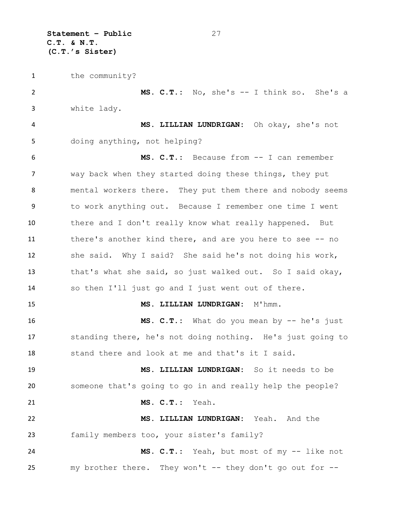**Statement – Public** 27 **C.T. & N.T. (C.T.'s Sister)**

the community?

 **MS. C.T.:** No, she's -- I think so. She's a white lady. **MS. LILLIAN LUNDRIGAN:** Oh okay, she's not doing anything, not helping? **MS. C.T.:** Because from -- I can remember way back when they started doing these things, they put mental workers there. They put them there and nobody seems to work anything out. Because I remember one time I went there and I don't really know what really happened. But there's another kind there, and are you here to see -- no she said. Why I said? She said he's not doing his work, that's what she said, so just walked out. So I said okay, so then I'll just go and I just went out of there. **MS. LILLIAN LUNDRIGAN:** M'hmm. **MS. C.T.:** What do you mean by -- he's just standing there, he's not doing nothing. He's just going to stand there and look at me and that's it I said. **MS. LILLIAN LUNDRIGAN:** So it needs to be someone that's going to go in and really help the people? **MS. C.T.:** Yeah. **MS. LILLIAN LUNDRIGAN:** Yeah. And the family members too, your sister's family? **MS. C.T.:** Yeah, but most of my -- like not my brother there. They won't -- they don't go out for --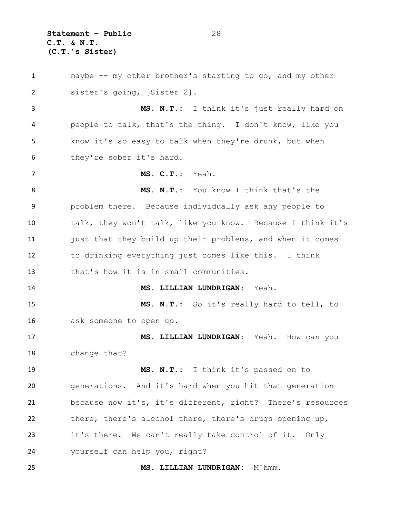**Statement – Public** 28 **C.T. & N.T. (C.T.'s Sister)**

 maybe -- my other brother's starting to go, and my other sister's going, [Sister 2]. **MS. N.T.:** I think it's just really hard on people to talk, that's the thing. I don't know, like you know it's so easy to talk when they're drunk, but when they're sober it's hard. **MS. C.T.:** Yeah. **MS. N.T.:** You know I think that's the problem there. Because individually ask any people to talk, they won't talk, like you know. Because I think it's 11 just that they build up their problems, and when it comes to drinking everything just comes like this. I think that's how it is in small communities. **MS. LILLIAN LUNDRIGAN:** Yeah. **MS. N.T.:** So it's really hard to tell, to ask someone to open up. **MS. LILLIAN LUNDRIGAN:** Yeah. How can you change that? **MS. N.T.:** I think it's passed on to generations. And it's hard when you hit that generation because now it's, it's different, right? There's resources there, there's alcohol there, there's drugs opening up, it's there. We can't really take control of it. Only yourself can help you, right? **MS. LILLIAN LUNDRIGAN:** M'hmm.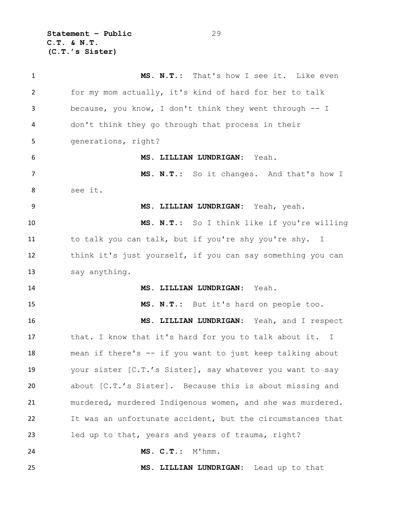**Statement – Public** 29 **C.T. & N.T. (C.T.'s Sister)**

 **MS. N.T.:** That's how I see it. Like even for my mom actually, it's kind of hard for her to talk because, you know, I don't think they went through -- I don't think they go through that process in their generations, right? **MS. LILLIAN LUNDRIGAN:** Yeah. **MS. N.T.:** So it changes. And that's how I see it. **MS. LILLIAN LUNDRIGAN:** Yeah, yeah. **MS. N.T.:** So I think like if you're willing to talk you can talk, but if you're shy you're shy. I think it's just yourself, if you can say something you can say anything. **MS. LILLIAN LUNDRIGAN:** Yeah. **MS. N.T.:** But it's hard on people too. **MS. LILLIAN LUNDRIGAN:** Yeah, and I respect that. I know that it's hard for you to talk about it. I mean if there's -- if you want to just keep talking about your sister [C.T.'s Sister], say whatever you want to say about [C.T.'s Sister]. Because this is about missing and murdered, murdered Indigenous women, and she was murdered. It was an unfortunate accident, but the circumstances that led up to that, years and years of trauma, right? **MS. C.T.:** M'hmm. **MS. LILLIAN LUNDRIGAN:** Lead up to that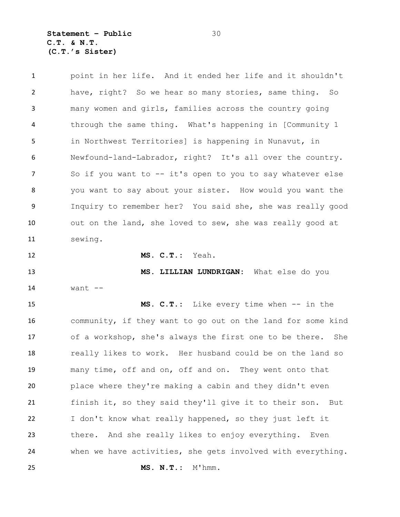**Statement – Public** 30 **C.T. & N.T. (C.T.'s Sister)**

 point in her life. And it ended her life and it shouldn't have, right? So we hear so many stories, same thing. So many women and girls, families across the country going through the same thing. What's happening in [Community 1 in Northwest Territories] is happening in Nunavut, in Newfound-land-Labrador, right? It's all over the country. 7 So if you want to -- it's open to you to say whatever else you want to say about your sister. How would you want the Inquiry to remember her? You said she, she was really good out on the land, she loved to sew, she was really good at sewing. **MS. C.T.:** Yeah.

 **MS. LILLIAN LUNDRIGAN:** What else do you want --

 **MS. C.T.:** Like every time when -- in the community, if they want to go out on the land for some kind of a workshop, she's always the first one to be there. She really likes to work. Her husband could be on the land so many time, off and on, off and on. They went onto that place where they're making a cabin and they didn't even finish it, so they said they'll give it to their son. But I don't know what really happened, so they just left it there. And she really likes to enjoy everything. Even when we have activities, she gets involved with everything. **MS. N.T.:** M'hmm.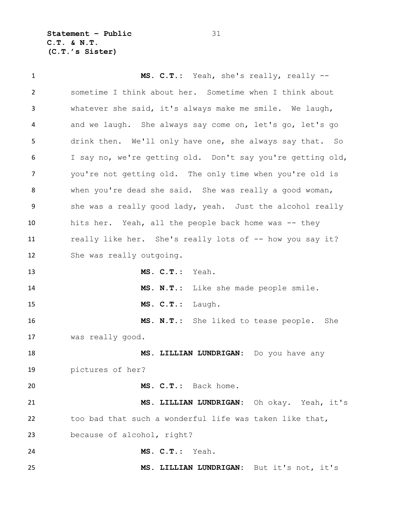**Statement – Public** 31 **C.T. & N.T. (C.T.'s Sister)**

 **MS. C.T.:** Yeah, she's really, really -- sometime I think about her. Sometime when I think about whatever she said, it's always make me smile. We laugh, and we laugh. She always say come on, let's go, let's go drink then. We'll only have one, she always say that. So I say no, we're getting old. Don't say you're getting old, you're not getting old. The only time when you're old is when you're dead she said. She was really a good woman, 9 she was a really good lady, yeah. Just the alcohol really hits her. Yeah, all the people back home was -- they really like her. She's really lots of -- how you say it? She was really outgoing. **MS. C.T.:** Yeah. **MS. N.T.:** Like she made people smile. **MS. C.T.:** Laugh. **MS. N.T.:** She liked to tease people. She was really good. **MS. LILLIAN LUNDRIGAN:** Do you have any pictures of her? **MS. C.T.:** Back home. **MS. LILLIAN LUNDRIGAN:** Oh okay. Yeah, it's too bad that such a wonderful life was taken like that, because of alcohol, right? **MS. C.T.:** Yeah. **MS. LILLIAN LUNDRIGAN:** But it's not, it's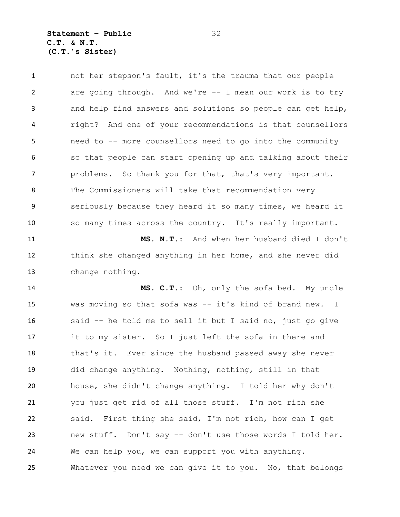not her stepson's fault, it's the trauma that our people are going through. And we're -- I mean our work is to try and help find answers and solutions so people can get help, right? And one of your recommendations is that counsellors need to -- more counsellors need to go into the community so that people can start opening up and talking about their problems. So thank you for that, that's very important. The Commissioners will take that recommendation very seriously because they heard it so many times, we heard it so many times across the country. It's really important. **MS. N.T.:** And when her husband died I don't think she changed anything in her home, and she never did change nothing. **MS. C.T.:** Oh, only the sofa bed. My uncle

 was moving so that sofa was -- it's kind of brand new. I said -- he told me to sell it but I said no, just go give it to my sister. So I just left the sofa in there and that's it. Ever since the husband passed away she never did change anything. Nothing, nothing, still in that house, she didn't change anything. I told her why don't you just get rid of all those stuff. I'm not rich she said. First thing she said, I'm not rich, how can I get new stuff. Don't say -- don't use those words I told her. We can help you, we can support you with anything. Whatever you need we can give it to you. No, that belongs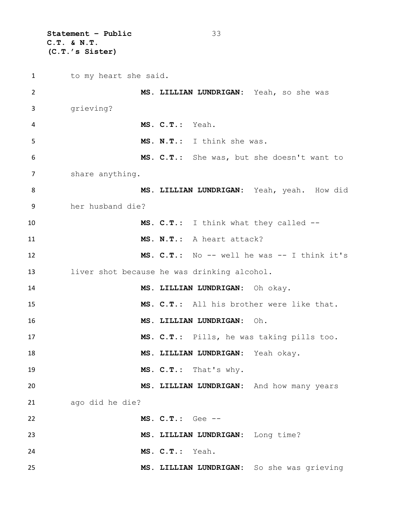**Statement – Public** 33 **C.T. & N.T. (C.T.'s Sister)**

1 to my heart she said. **MS. LILLIAN LUNDRIGAN:** Yeah, so she was grieving? **MS. C.T.:** Yeah. **MS. N.T.:** I think she was. **MS. C.T.:** She was, but she doesn't want to share anything. **MS. LILLIAN LUNDRIGAN:** Yeah, yeah. How did her husband die? **MS. C.T.:** I think what they called -- **MS. N.T.:** A heart attack? **MS. C.T.:** No -- well he was -- I think it's liver shot because he was drinking alcohol. **MS. LILLIAN LUNDRIGAN:** Oh okay. **MS. C.T.:** All his brother were like that. **MS. LILLIAN LUNDRIGAN:** Oh. **MS. C.T.:** Pills, he was taking pills too. **MS. LILLIAN LUNDRIGAN:** Yeah okay. **MS. C.T.:** That's why. **MS. LILLIAN LUNDRIGAN:** And how many years ago did he die? **MS. C.T.:** Gee -- **MS. LILLIAN LUNDRIGAN:** Long time? **MS. C.T.:** Yeah. **MS. LILLIAN LUNDRIGAN:** So she was grieving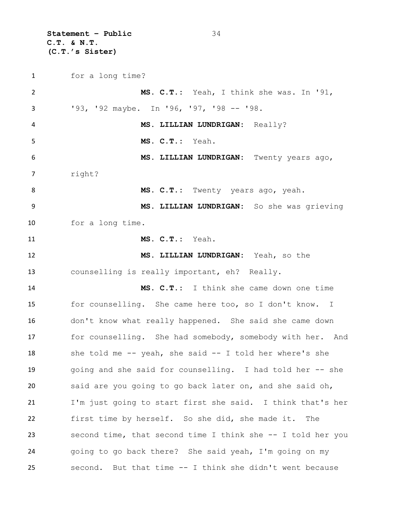**Statement – Public** 34 **C.T. & N.T. (C.T.'s Sister)**

 for a long time? **MS. C.T.:** Yeah, I think she was. In '91, '93, '92 maybe. In '96, '97, '98 -- '98. **MS. LILLIAN LUNDRIGAN:** Really? **MS. C.T.:** Yeah. **MS. LILLIAN LUNDRIGAN:** Twenty years ago, right? 8 MS. C.T.: Twenty years ago, yeah. **MS. LILLIAN LUNDRIGAN:** So she was grieving for a long time. **MS. C.T.:** Yeah. **MS. LILLIAN LUNDRIGAN:** Yeah, so the counselling is really important, eh? Really. **MS. C.T.:** I think she came down one time for counselling. She came here too, so I don't know. I don't know what really happened. She said she came down for counselling. She had somebody, somebody with her. And 18 she told me -- yeah, she said -- I told her where's she going and she said for counselling. I had told her -- she said are you going to go back later on, and she said oh, I'm just going to start first she said. I think that's her first time by herself. So she did, she made it. The second time, that second time I think she -- I told her you going to go back there? She said yeah, I'm going on my second. But that time -- I think she didn't went because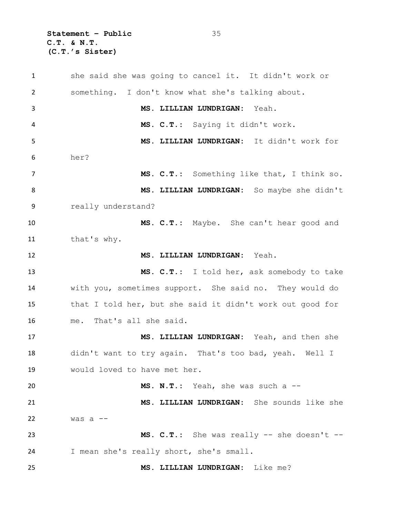**Statement – Public** 35 **C.T. & N.T. (C.T.'s Sister)**

 she said she was going to cancel it. It didn't work or something. I don't know what she's talking about. **MS. LILLIAN LUNDRIGAN:** Yeah. **MS. C.T.:** Saying it didn't work. **MS. LILLIAN LUNDRIGAN:** It didn't work for her? **MS. C.T.:** Something like that, I think so. **MS. LILLIAN LUNDRIGAN:** So maybe she didn't really understand? **MS. C.T.:** Maybe. She can't hear good and that's why. **MS. LILLIAN LUNDRIGAN:** Yeah. **MS. C.T.:** I told her, ask somebody to take with you, sometimes support. She said no. They would do that I told her, but she said it didn't work out good for me. That's all she said. **MS. LILLIAN LUNDRIGAN:** Yeah, and then she didn't want to try again. That's too bad, yeah. Well I would loved to have met her. **MS. N.T.:** Yeah, she was such a -- **MS. LILLIAN LUNDRIGAN:** She sounds like she was a  $-$  **MS. C.T.:** She was really -- she doesn't -- I mean she's really short, she's small. **MS. LILLIAN LUNDRIGAN:** Like me?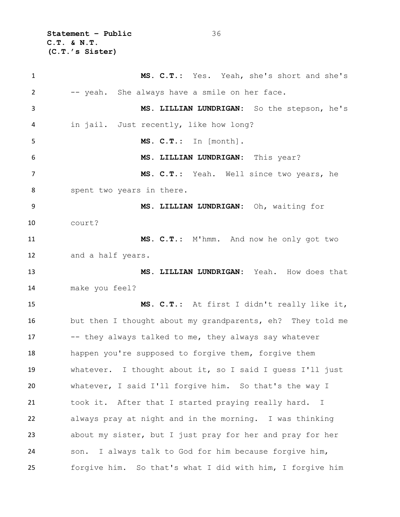**Statement – Public** 36 **C.T. & N.T. (C.T.'s Sister)**

 **MS. C.T.:** Yes. Yeah, she's short and she's 2 -- yeah. She always have a smile on her face. **MS. LILLIAN LUNDRIGAN:** So the stepson, he's in jail. Just recently, like how long? **MS. C.T.:** In [month]. **MS. LILLIAN LUNDRIGAN:** This year? **MS. C.T.:** Yeah. Well since two years, he spent two years in there. **MS. LILLIAN LUNDRIGAN:** Oh, waiting for court? **MS. C.T.:** M'hmm. And now he only got two and a half years. **MS. LILLIAN LUNDRIGAN:** Yeah. How does that make you feel? **MS. C.T.:** At first I didn't really like it, but then I thought about my grandparents, eh? They told me 17 -- they always talked to me, they always say whatever happen you're supposed to forgive them, forgive them whatever. I thought about it, so I said I guess I'll just whatever, I said I'll forgive him. So that's the way I took it. After that I started praying really hard. I always pray at night and in the morning. I was thinking about my sister, but I just pray for her and pray for her son. I always talk to God for him because forgive him, forgive him. So that's what I did with him, I forgive him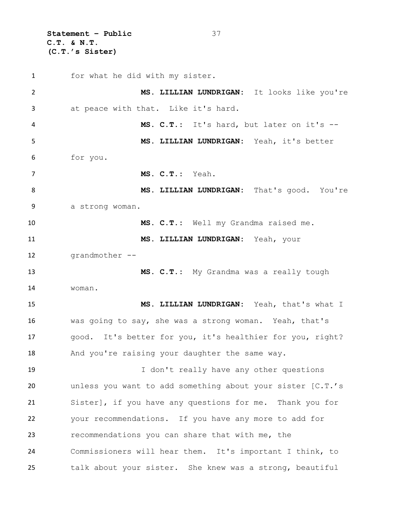**Statement – Public** 37 **C.T. & N.T. (C.T.'s Sister)**

 for what he did with my sister. **MS. LILLIAN LUNDRIGAN:** It looks like you're at peace with that. Like it's hard. **MS. C.T.:** It's hard, but later on it's -- **MS. LILLIAN LUNDRIGAN:** Yeah, it's better for you. **MS. C.T.:** Yeah. **MS. LILLIAN LUNDRIGAN:** That's good. You're a strong woman. **MS. C.T.:** Well my Grandma raised me. **MS. LILLIAN LUNDRIGAN:** Yeah, your grandmother -- **MS. C.T.:** My Grandma was a really tough woman. **MS. LILLIAN LUNDRIGAN:** Yeah, that's what I was going to say, she was a strong woman. Yeah, that's good. It's better for you, it's healthier for you, right? 18 And you're raising your daughter the same way. I don't really have any other questions unless you want to add something about your sister [C.T.'s Sister], if you have any questions for me. Thank you for your recommendations. If you have any more to add for recommendations you can share that with me, the Commissioners will hear them. It's important I think, to talk about your sister. She knew was a strong, beautiful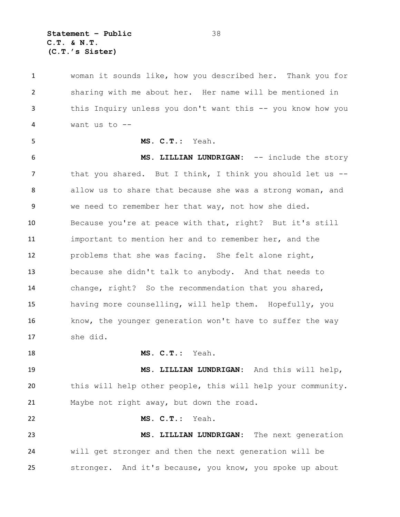**Statement – Public** 38 **C.T. & N.T. (C.T.'s Sister)**

 woman it sounds like, how you described her. Thank you for sharing with me about her. Her name will be mentioned in this Inquiry unless you don't want this -- you know how you want us to -- **MS. C.T.:** Yeah. **MS. LILLIAN LUNDRIGAN:** -- include the story 7 that you shared. But I think, I think you should let us --8 allow us to share that because she was a strong woman, and we need to remember her that way, not how she died. Because you're at peace with that, right? But it's still important to mention her and to remember her, and the problems that she was facing. She felt alone right, because she didn't talk to anybody. And that needs to change, right? So the recommendation that you shared, having more counselling, will help them. Hopefully, you 16 know, the younger generation won't have to suffer the way she did. **MS. C.T.:** Yeah. **MS. LILLIAN LUNDRIGAN:** And this will help, this will help other people, this will help your community. Maybe not right away, but down the road. **MS. C.T.:** Yeah. **MS. LILLIAN LUNDRIGAN:** The next generation will get stronger and then the next generation will be stronger. And it's because, you know, you spoke up about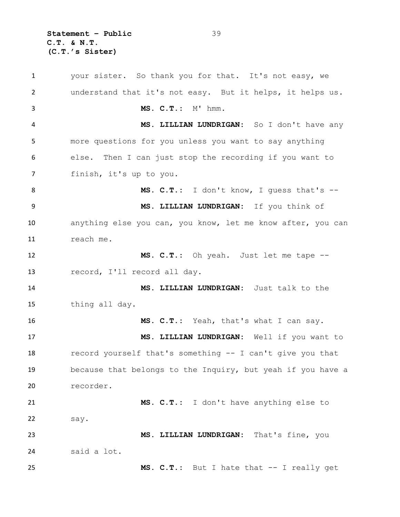**Statement – Public** 39 **C.T. & N.T. (C.T.'s Sister)**

 your sister. So thank you for that. It's not easy, we understand that it's not easy. But it helps, it helps us. **MS. C.T.:** M' hmm. **MS. LILLIAN LUNDRIGAN:** So I don't have any more questions for you unless you want to say anything else. Then I can just stop the recording if you want to finish, it's up to you. 8 MS. C.T.: I don't know, I guess that's -- **MS. LILLIAN LUNDRIGAN:** If you think of anything else you can, you know, let me know after, you can reach me. **MS. C.T.:** Oh yeah. Just let me tape -- record, I'll record all day. **MS. LILLIAN LUNDRIGAN:** Just talk to the thing all day. **MS. C.T.:** Yeah, that's what I can say. **MS. LILLIAN LUNDRIGAN:** Well if you want to record yourself that's something -- I can't give you that because that belongs to the Inquiry, but yeah if you have a recorder. **MS. C.T.:** I don't have anything else to say. **MS. LILLIAN LUNDRIGAN:** That's fine, you said a lot. **MS. C.T.:** But I hate that -- I really get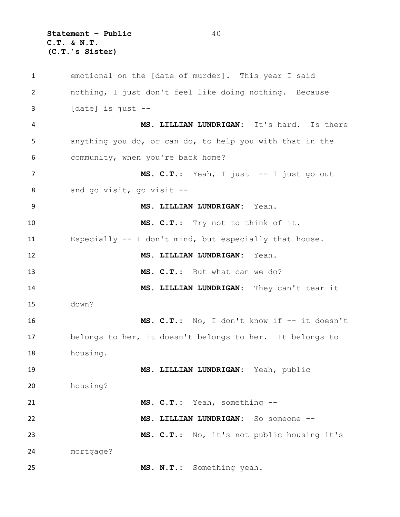**Statement – Public** 40 **C.T. & N.T. (C.T.'s Sister)**

 emotional on the [date of murder]. This year I said nothing, I just don't feel like doing nothing. Because [date] is just -- **MS. LILLIAN LUNDRIGAN:** It's hard. Is there anything you do, or can do, to help you with that in the community, when you're back home? 7 MS. C.T.: Yeah, I just -- I just go out and go visit, go visit -- **MS. LILLIAN LUNDRIGAN:** Yeah. **MS. C.T.:** Try not to think of it. Especially -- I don't mind, but especially that house. **MS. LILLIAN LUNDRIGAN:** Yeah. **MS. C.T.:** But what can we do? **MS. LILLIAN LUNDRIGAN:** They can't tear it down? **MS. C.T.:** No, I don't know if -- it doesn't belongs to her, it doesn't belongs to her. It belongs to housing. **MS. LILLIAN LUNDRIGAN:** Yeah, public housing? **MS. C.T.:** Yeah, something -- **MS. LILLIAN LUNDRIGAN:** So someone -- **MS. C.T.:** No, it's not public housing it's mortgage? **MS. N.T.:** Something yeah.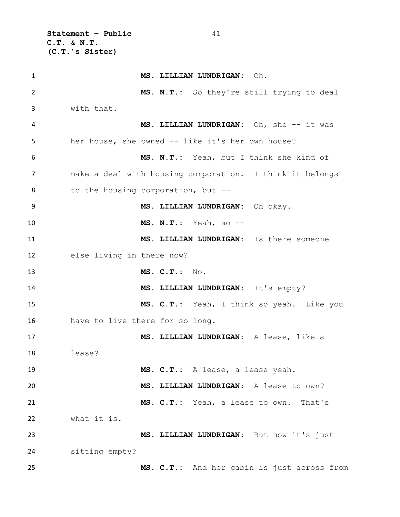**Statement – Public** 41 **C.T. & N.T. (C.T.'s Sister)**

 **MS. LILLIAN LUNDRIGAN:** Oh. **MS. N.T.:** So they're still trying to deal with that. 4 MS. LILLIAN LUNDRIGAN: Oh, she -- it was her house, she owned -- like it's her own house? **MS. N.T.:** Yeah, but I think she kind of make a deal with housing corporation. I think it belongs 8 to the housing corporation, but -- **MS. LILLIAN LUNDRIGAN:** Oh okay. **MS. N.T.:** Yeah, so -- **MS. LILLIAN LUNDRIGAN:** Is there someone else living in there now? **MS. C.T.:** No. **MS. LILLIAN LUNDRIGAN:** It's empty? **MS. C.T.:** Yeah, I think so yeah. Like you have to live there for so long. **MS. LILLIAN LUNDRIGAN:** A lease, like a lease? **MS. C.T.:** A lease, a lease yeah. **MS. LILLIAN LUNDRIGAN:** A lease to own? **MS. C.T.:** Yeah, a lease to own. That's what it is. **MS. LILLIAN LUNDRIGAN:** But now it's just sitting empty? **MS. C.T.:** And her cabin is just across from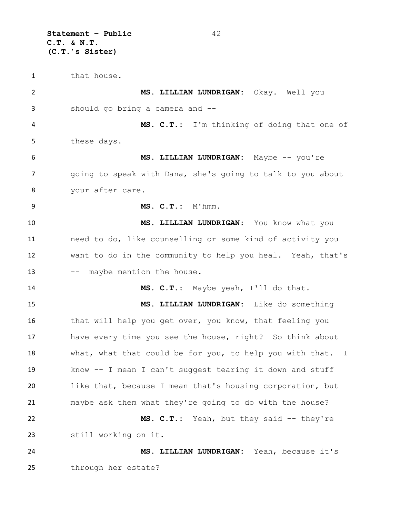**Statement – Public** 42 **C.T. & N.T. (C.T.'s Sister)**

1 that house. **MS. LILLIAN LUNDRIGAN:** Okay. Well you should go bring a camera and -- **MS. C.T.:** I'm thinking of doing that one of these days. **MS. LILLIAN LUNDRIGAN:** Maybe -- you're 7 a going to speak with Dana, she's going to talk to you about your after care. **MS. C.T.:** M'hmm. **MS. LILLIAN LUNDRIGAN:** You know what you need to do, like counselling or some kind of activity you want to do in the community to help you heal. Yeah, that's 13 -- maybe mention the house. **MS. C.T.:** Maybe yeah, I'll do that. **MS. LILLIAN LUNDRIGAN:** Like do something 16 that will help you get over, you know, that feeling you have every time you see the house, right? So think about 18 what, what that could be for you, to help you with that. I know -- I mean I can't suggest tearing it down and stuff like that, because I mean that's housing corporation, but maybe ask them what they're going to do with the house? **MS. C.T.:** Yeah, but they said -- they're still working on it. **MS. LILLIAN LUNDRIGAN:** Yeah, because it's through her estate?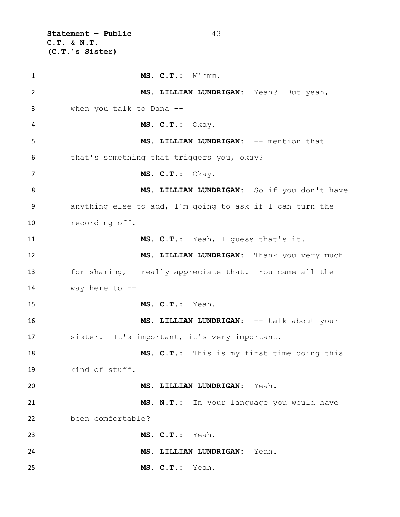**Statement – Public** 43 **C.T. & N.T. (C.T.'s Sister)**

 **MS. C.T.:** M'hmm. **MS. LILLIAN LUNDRIGAN:** Yeah? But yeah, when you talk to Dana -- **MS. C.T.:** Okay. **MS. LILLIAN LUNDRIGAN:** -- mention that that's something that triggers you, okay? **MS. C.T.:** Okay. **MS. LILLIAN LUNDRIGAN:** So if you don't have anything else to add, I'm going to ask if I can turn the recording off. **MS. C.T.:** Yeah, I guess that's it. **MS. LILLIAN LUNDRIGAN:** Thank you very much for sharing, I really appreciate that. You came all the way here to -- **MS. C.T.:** Yeah. **MS. LILLIAN LUNDRIGAN:** -- talk about your sister. It's important, it's very important. **MS. C.T.:** This is my first time doing this kind of stuff. **MS. LILLIAN LUNDRIGAN:** Yeah. **MS. N.T.:** In your language you would have been comfortable? **MS. C.T.:** Yeah. **MS. LILLIAN LUNDRIGAN:** Yeah. **MS. C.T.:** Yeah.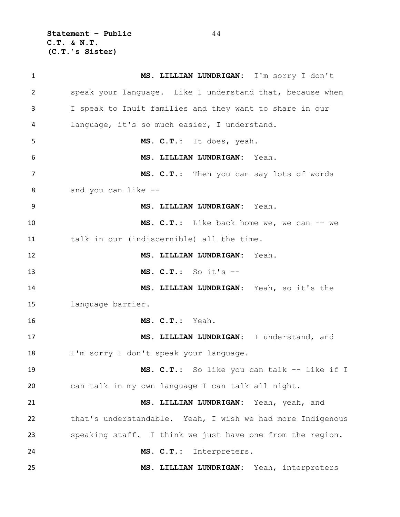**Statement – Public** 44 **C.T. & N.T. (C.T.'s Sister)**

 **MS. LILLIAN LUNDRIGAN:** I'm sorry I don't speak your language. Like I understand that, because when I speak to Inuit families and they want to share in our language, it's so much easier, I understand. **MS. C.T.:** It does, yeah. **MS. LILLIAN LUNDRIGAN:** Yeah. **MS. C.T.:** Then you can say lots of words and you can like -- **MS. LILLIAN LUNDRIGAN:** Yeah. 10 MS. C.T.: Like back home we, we can -- we 11 talk in our (indiscernible) all the time. **MS. LILLIAN LUNDRIGAN:** Yeah. **MS. C.T.:** So it's -- **MS. LILLIAN LUNDRIGAN:** Yeah, so it's the language barrier. **MS. C.T.:** Yeah. **MS. LILLIAN LUNDRIGAN:** I understand, and I'm sorry I don't speak your language. **MS. C.T.:** So like you can talk -- like if I can talk in my own language I can talk all night. **MS. LILLIAN LUNDRIGAN:** Yeah, yeah, and that's understandable. Yeah, I wish we had more Indigenous speaking staff. I think we just have one from the region. **MS. C.T.:** Interpreters. **MS. LILLIAN LUNDRIGAN:** Yeah, interpreters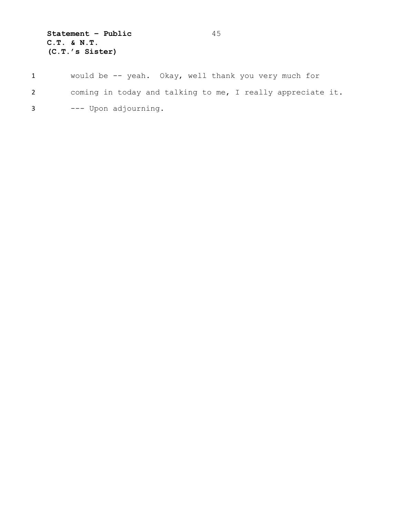**Statement – Public** 45 **C.T. & N.T. (C.T.'s Sister)**

- 1 would be -- yeah. Okay, well thank you very much for
- 2 coming in today and talking to me, I really appreciate it.
- 3 --- Upon adjourning.